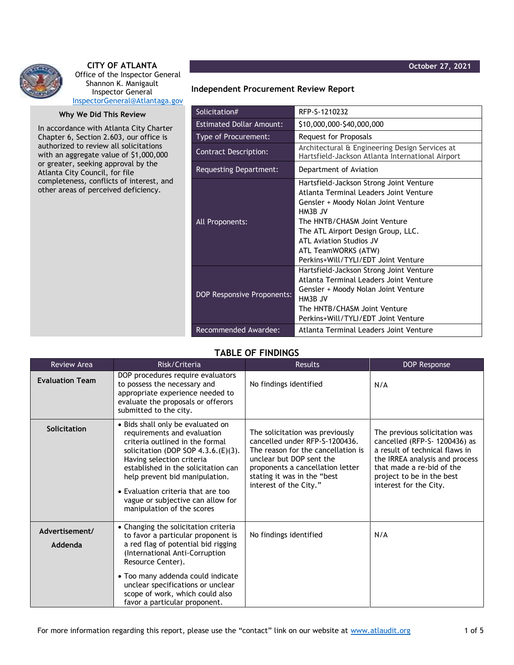



## **CITY OF ATLANTA** Office of the Inspector General Shannon K. Manigault Inspector General [InspectorGeneral@Atlantaga.gov](mailto:InspectorGeneral@Atlantaga.gov)

## **Why We Did This Review**

In accordance with Atlanta City Charter Chapter 6, Section 2.603, our office is authorized to review all solicitations with an aggregate value of \$1,000,000 or greater, seeking approval by the Atlanta City Council, for file completeness, conflicts of interest, and other areas of perceived deficiency.

## **Independent Procurement Review Report**

| Solicitation#                   | RFP-S-1210232                                                                                      |  |  |
|---------------------------------|----------------------------------------------------------------------------------------------------|--|--|
| <b>Estimated Dollar Amount:</b> | \$10,000,000-\$40,000,000                                                                          |  |  |
| Type of Procurement:            | Request for Proposals                                                                              |  |  |
| <b>Contract Description:</b>    | Architectural & Engineering Design Services at<br>Hartsfield-Jackson Atlanta International Airport |  |  |
| Requesting Department:          | Department of Aviation                                                                             |  |  |
|                                 | Hartsfield-Jackson Strong Joint Venture                                                            |  |  |
|                                 | Atlanta Terminal Leaders Joint Venture                                                             |  |  |
| All Proponents:                 | Gensler + Moody Nolan Joint Venture                                                                |  |  |
|                                 | HM3B JV                                                                                            |  |  |
|                                 | The HNTB/CHASM Joint Venture                                                                       |  |  |
|                                 | The ATL Airport Design Group, LLC.                                                                 |  |  |
|                                 | ATL Aviation Studios JV                                                                            |  |  |
|                                 | ATL TeamWORKS (ATW)                                                                                |  |  |
|                                 | Perkins+Will/TYLI/EDT Joint Venture                                                                |  |  |
|                                 | Hartsfield-Jackson Strong Joint Venture                                                            |  |  |
|                                 | Atlanta Terminal Leaders Joint Venture                                                             |  |  |
|                                 | Gensler + Moody Nolan Joint Venture                                                                |  |  |
| DOP Responsive Proponents:      | HM3B JV                                                                                            |  |  |
|                                 | The HNTB/CHASM Joint Venture                                                                       |  |  |
|                                 | Perkins+Will/TYLI/EDT Joint Venture                                                                |  |  |
| Recommended Awardee:            | Atlanta Terminal Leaders Joint Venture                                                             |  |  |

## **TABLE OF FINDINGS**

| <b>Review Area</b>        | Risk/Criteria                                                                                                                                                                                                                                                                                                                                               | <b>Results</b>                                                                                                                                                                                                                   | DOP Response                                                                                                                                                                                                           |
|---------------------------|-------------------------------------------------------------------------------------------------------------------------------------------------------------------------------------------------------------------------------------------------------------------------------------------------------------------------------------------------------------|----------------------------------------------------------------------------------------------------------------------------------------------------------------------------------------------------------------------------------|------------------------------------------------------------------------------------------------------------------------------------------------------------------------------------------------------------------------|
| <b>Evaluation Team</b>    | DOP procedures require evaluators<br>to possess the necessary and<br>appropriate experience needed to<br>evaluate the proposals or offerors<br>submitted to the city.                                                                                                                                                                                       | No findings identified                                                                                                                                                                                                           | N/A                                                                                                                                                                                                                    |
| <b>Solicitation</b>       | • Bids shall only be evaluated on<br>requirements and evaluation<br>criteria outlined in the formal<br>solicitation (DOP SOP $4.3.6(E)(3)$ .<br>Having selection criteria<br>established in the solicitation can<br>help prevent bid manipulation.<br>• Evaluation criteria that are too<br>vague or subjective can allow for<br>manipulation of the scores | The solicitation was previously<br>cancelled under RFP-S-1200436.<br>The reason for the cancellation is<br>unclear but DOP sent the<br>proponents a cancellation letter<br>stating it was in the "best<br>interest of the City." | The previous solicitation was<br>cancelled (RFP-S- 1200436) as<br>a result of technical flaws in<br>the IRREA analysis and process<br>that made a re-bid of the<br>project to be in the best<br>interest for the City. |
| Advertisement/<br>Addenda | • Changing the solicitation criteria<br>to favor a particular proponent is<br>a red flag of potential bid rigging<br>(International Anti-Corruption<br>Resource Center).<br>• Too many addenda could indicate<br>unclear specifications or unclear<br>scope of work, which could also<br>favor a particular proponent.                                      | No findings identified                                                                                                                                                                                                           | N/A                                                                                                                                                                                                                    |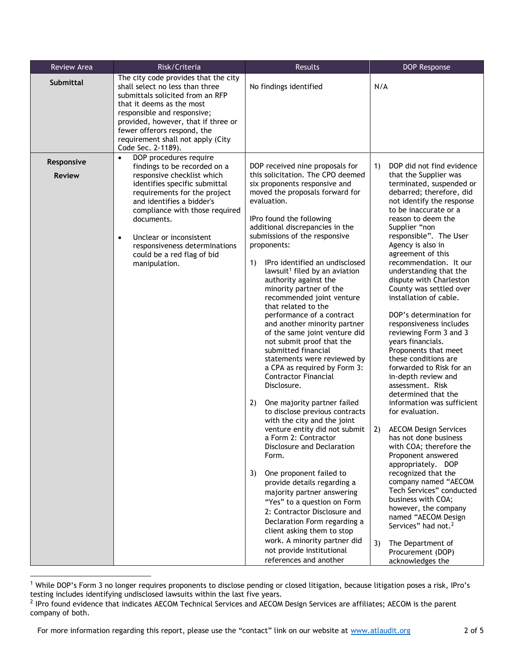| The city code provides that the city<br><b>Submittal</b><br>N/A<br>shall select no less than three<br>No findings identified<br>submittals solicited from an RFP<br>that it deems as the most<br>responsible and responsive;<br>provided, however, that if three or                                                                                                                                                                                                                                                                                                                                                                                                                                                                                                                                                                                                                                                                                                                                                                                                                                                                                                                                                                                                                                                                                                                                                                                                                                                                                                                                                                                                                                                                                                                                                                                                                                                                                                                                                                                                                                                                                                                                                                                                                                                                                                                                                                                 | <b>Review Area</b> | Risk/Criteria | Results | <b>DOP Response</b>                                                                                                                                                                                                                                                                                                                     |
|-----------------------------------------------------------------------------------------------------------------------------------------------------------------------------------------------------------------------------------------------------------------------------------------------------------------------------------------------------------------------------------------------------------------------------------------------------------------------------------------------------------------------------------------------------------------------------------------------------------------------------------------------------------------------------------------------------------------------------------------------------------------------------------------------------------------------------------------------------------------------------------------------------------------------------------------------------------------------------------------------------------------------------------------------------------------------------------------------------------------------------------------------------------------------------------------------------------------------------------------------------------------------------------------------------------------------------------------------------------------------------------------------------------------------------------------------------------------------------------------------------------------------------------------------------------------------------------------------------------------------------------------------------------------------------------------------------------------------------------------------------------------------------------------------------------------------------------------------------------------------------------------------------------------------------------------------------------------------------------------------------------------------------------------------------------------------------------------------------------------------------------------------------------------------------------------------------------------------------------------------------------------------------------------------------------------------------------------------------------------------------------------------------------------------------------------------------|--------------------|---------------|---------|-----------------------------------------------------------------------------------------------------------------------------------------------------------------------------------------------------------------------------------------------------------------------------------------------------------------------------------------|
| fewer offerors respond, the<br>requirement shall not apply (City<br>Code Sec. 2-1189).                                                                                                                                                                                                                                                                                                                                                                                                                                                                                                                                                                                                                                                                                                                                                                                                                                                                                                                                                                                                                                                                                                                                                                                                                                                                                                                                                                                                                                                                                                                                                                                                                                                                                                                                                                                                                                                                                                                                                                                                                                                                                                                                                                                                                                                                                                                                                              |                    |               |         |                                                                                                                                                                                                                                                                                                                                         |
| DOP procedures require<br>$\bullet$<br>Responsive<br>DOP received nine proposals for<br>1)<br>findings to be recorded on a<br>this solicitation. The CPO deemed<br>that the Supplier was<br>responsive checklist which<br><b>Review</b><br>six proponents responsive and<br>identifies specific submittal<br>moved the proposals forward for<br>requirements for the project<br>evaluation.<br>and identifies a bidder's<br>to be inaccurate or a<br>compliance with those required<br>IPro found the following<br>reason to deem the<br>documents.<br>additional discrepancies in the<br>Supplier "non<br>submissions of the responsive<br>responsible". The User<br>Unclear or inconsistent<br>$\bullet$<br>Agency is also in<br>proponents:<br>responsiveness determinations<br>agreement of this<br>could be a red flag of bid<br>IPro identified an undisclosed<br>1)<br>manipulation.<br>lawsuit <sup>1</sup> filed by an aviation<br>understanding that the<br>authority against the<br>dispute with Charleston<br>minority partner of the<br>installation of cable.<br>recommended joint venture<br>that related to the<br>performance of a contract<br>and another minority partner<br>responsiveness includes<br>of the same joint venture did<br>reviewing Form 3 and 3<br>not submit proof that the<br>years financials.<br>Proponents that meet<br>submitted financial<br>statements were reviewed by<br>these conditions are<br>a CPA as required by Form 3:<br><b>Contractor Financial</b><br>in-depth review and<br>Disclosure.<br>assessment. Risk<br>determined that the<br>2)<br>One majority partner failed<br>to disclose previous contracts<br>for evaluation.<br>with the city and the joint<br>venture entity did not submit<br><b>AECOM Design Services</b><br>2)<br>a Form 2: Contractor<br>has not done business<br>Disclosure and Declaration<br>Form.<br>Proponent answered<br>appropriately. DOP<br>recognized that the<br>3)<br>One proponent failed to<br>provide details regarding a<br>majority partner answering<br>business with COA;<br>"Yes" to a question on Form<br>however, the company<br>2: Contractor Disclosure and<br>named "AECOM Design<br>Declaration Form regarding a<br>Services" had not. <sup>2</sup><br>client asking them to stop<br>work. A minority partner did<br>The Department of<br>3)<br>not provide institutional<br>Procurement (DOP)<br>references and another<br>acknowledges the |                    |               |         | DOP did not find evidence<br>terminated, suspended or<br>debarred; therefore, did<br>not identify the response<br>recommendation. It our<br>County was settled over<br>DOP's determination for<br>forwarded to Risk for an<br>information was sufficient<br>with COA; therefore the<br>company named "AECOM<br>Tech Services" conducted |

 $1$  While DOP's Form 3 no longer requires proponents to disclose pending or closed litigation, because litigation poses a risk, IPro's testing includes identifying undisclosed lawsuits within the last five years.

<sup>&</sup>lt;sup>2</sup> IPro found evidence that indicates AECOM Technical Services and AECOM Design Services are affiliates; AECOM is the parent company of both.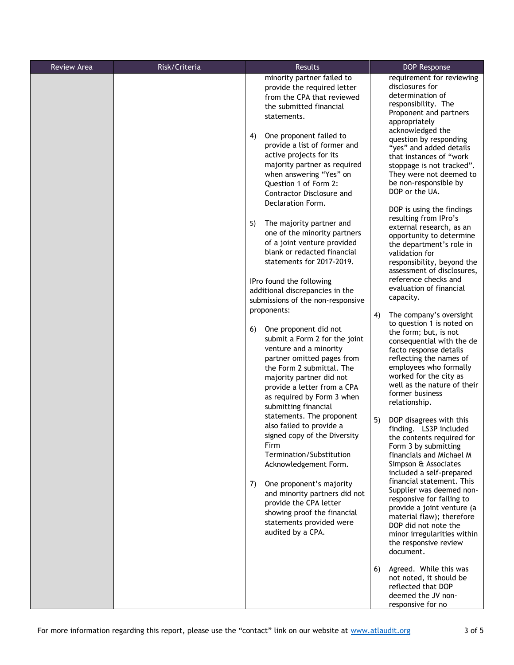| <b>Review Area</b> | Risk/Criteria | Results                                                                                                                                                                                                                                                                                                                                                                                                                                                                                                                                                                                                                                                                                                                                                                                                                                                                                                                                                                                                                                                                                                                                                                                                                                                      | DOP Response                                                                                                                                                                                                                                                                                                                                                                                                                                                                                                                                                                                                                                                                                                                                                                                                                                                                                                                                                                                                                                                                                                                                                                                                                                                                                                                                                                    |
|--------------------|---------------|--------------------------------------------------------------------------------------------------------------------------------------------------------------------------------------------------------------------------------------------------------------------------------------------------------------------------------------------------------------------------------------------------------------------------------------------------------------------------------------------------------------------------------------------------------------------------------------------------------------------------------------------------------------------------------------------------------------------------------------------------------------------------------------------------------------------------------------------------------------------------------------------------------------------------------------------------------------------------------------------------------------------------------------------------------------------------------------------------------------------------------------------------------------------------------------------------------------------------------------------------------------|---------------------------------------------------------------------------------------------------------------------------------------------------------------------------------------------------------------------------------------------------------------------------------------------------------------------------------------------------------------------------------------------------------------------------------------------------------------------------------------------------------------------------------------------------------------------------------------------------------------------------------------------------------------------------------------------------------------------------------------------------------------------------------------------------------------------------------------------------------------------------------------------------------------------------------------------------------------------------------------------------------------------------------------------------------------------------------------------------------------------------------------------------------------------------------------------------------------------------------------------------------------------------------------------------------------------------------------------------------------------------------|
|                    |               | minority partner failed to<br>provide the required letter<br>from the CPA that reviewed<br>the submitted financial<br>statements.<br>4)<br>One proponent failed to<br>provide a list of former and<br>active projects for its<br>majority partner as required<br>when answering "Yes" on<br>Question 1 of Form 2:<br>Contractor Disclosure and<br>Declaration Form.<br>The majority partner and<br>5)<br>one of the minority partners<br>of a joint venture provided<br>blank or redacted financial<br>statements for 2017-2019.<br>IPro found the following<br>additional discrepancies in the<br>submissions of the non-responsive<br>proponents:<br>One proponent did not<br>6)<br>submit a Form 2 for the joint<br>venture and a minority<br>partner omitted pages from<br>the Form 2 submittal. The<br>majority partner did not<br>provide a letter from a CPA<br>as required by Form 3 when<br>submitting financial<br>statements. The proponent<br>also failed to provide a<br>signed copy of the Diversity<br>Firm<br>Termination/Substitution<br>Acknowledgement Form.<br>7)<br>One proponent's majority<br>and minority partners did not<br>provide the CPA letter<br>showing proof the financial<br>statements provided were<br>audited by a CPA. | requirement for reviewing<br>disclosures for<br>determination of<br>responsibility. The<br>Proponent and partners<br>appropriately<br>acknowledged the<br>question by responding<br>"yes" and added details<br>that instances of "work<br>stoppage is not tracked".<br>They were not deemed to<br>be non-responsible by<br>DOP or the UA.<br>DOP is using the findings<br>resulting from IPro's<br>external research, as an<br>opportunity to determine<br>the department's role in<br>validation for<br>responsibility, beyond the<br>assessment of disclosures,<br>reference checks and<br>evaluation of financial<br>capacity.<br>4)<br>The company's oversight<br>to question 1 is noted on<br>the form; but, is not<br>consequential with the de<br>facto response details<br>reflecting the names of<br>employees who formally<br>worked for the city as<br>well as the nature of their<br>former business<br>relationship.<br>5)<br>DOP disagrees with this<br>finding. LS3P included<br>the contents required for<br>Form 3 by submitting<br>financials and Michael M<br>Simpson & Associates<br>included a self-prepared<br>financial statement. This<br>Supplier was deemed non-<br>responsive for failing to<br>provide a joint venture (a<br>material flaw); therefore<br>DOP did not note the<br>minor irregularities within<br>the responsive review<br>document. |
|                    |               |                                                                                                                                                                                                                                                                                                                                                                                                                                                                                                                                                                                                                                                                                                                                                                                                                                                                                                                                                                                                                                                                                                                                                                                                                                                              | 6)<br>Agreed. While this was<br>not noted, it should be<br>reflected that DOP<br>deemed the JV non-<br>responsive for no                                                                                                                                                                                                                                                                                                                                                                                                                                                                                                                                                                                                                                                                                                                                                                                                                                                                                                                                                                                                                                                                                                                                                                                                                                                        |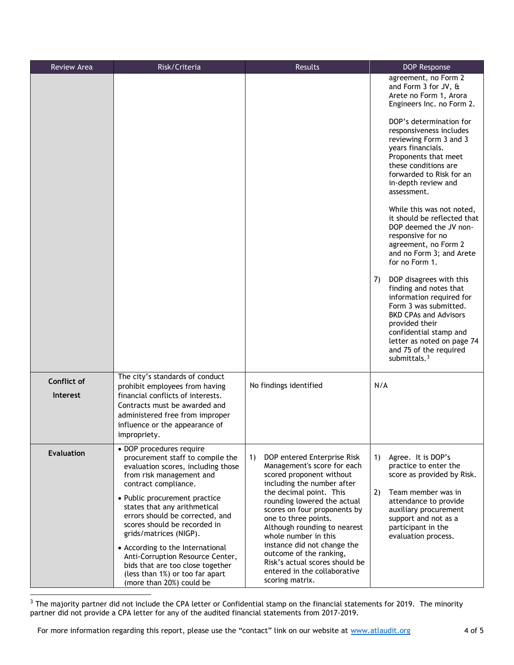| <b>Review Area</b>                    | Risk/Criteria                                                                                                                                                                                                                                                                                                                                                                                                                                                                                   | <b>Results</b>                                                                                                                                                                                                                                                                                                                                                                                                                                      | <b>DOP Response</b>                                                                                                                                                                                                                                                 |
|---------------------------------------|-------------------------------------------------------------------------------------------------------------------------------------------------------------------------------------------------------------------------------------------------------------------------------------------------------------------------------------------------------------------------------------------------------------------------------------------------------------------------------------------------|-----------------------------------------------------------------------------------------------------------------------------------------------------------------------------------------------------------------------------------------------------------------------------------------------------------------------------------------------------------------------------------------------------------------------------------------------------|---------------------------------------------------------------------------------------------------------------------------------------------------------------------------------------------------------------------------------------------------------------------|
|                                       |                                                                                                                                                                                                                                                                                                                                                                                                                                                                                                 |                                                                                                                                                                                                                                                                                                                                                                                                                                                     | agreement, no Form 2<br>and Form 3 for JV, &<br>Arete no Form 1, Arora<br>Engineers Inc. no Form 2.                                                                                                                                                                 |
|                                       |                                                                                                                                                                                                                                                                                                                                                                                                                                                                                                 |                                                                                                                                                                                                                                                                                                                                                                                                                                                     | DOP's determination for<br>responsiveness includes<br>reviewing Form 3 and 3<br>years financials.<br>Proponents that meet<br>these conditions are<br>forwarded to Risk for an<br>in-depth review and<br>assessment.                                                 |
|                                       |                                                                                                                                                                                                                                                                                                                                                                                                                                                                                                 |                                                                                                                                                                                                                                                                                                                                                                                                                                                     | While this was not noted,<br>it should be reflected that<br>DOP deemed the JV non-<br>responsive for no<br>agreement, no Form 2<br>and no Form 3; and Arete<br>for no Form 1.                                                                                       |
|                                       |                                                                                                                                                                                                                                                                                                                                                                                                                                                                                                 |                                                                                                                                                                                                                                                                                                                                                                                                                                                     | DOP disagrees with this<br>7)<br>finding and notes that<br>information required for<br>Form 3 was submitted.<br><b>BKD CPAs and Advisors</b><br>provided their<br>confidential stamp and<br>letter as noted on page 74<br>and 75 of the required<br>submittals. $3$ |
| <b>Conflict of</b><br><b>Interest</b> | The city's standards of conduct<br>prohibit employees from having<br>financial conflicts of interests.<br>Contracts must be awarded and<br>administered free from improper<br>influence or the appearance of<br>impropriety.                                                                                                                                                                                                                                                                    | No findings identified                                                                                                                                                                                                                                                                                                                                                                                                                              | N/A                                                                                                                                                                                                                                                                 |
| Evaluation                            | • DOP procedures require<br>procurement staff to compile the<br>evaluation scores, including those<br>from risk management and<br>contract compliance.<br>• Public procurement practice<br>states that any arithmetical<br>errors should be corrected, and<br>scores should be recorded in<br>grids/matrices (NIGP).<br>• According to the International<br>Anti-Corruption Resource Center,<br>bids that are too close together<br>(less than 1%) or too far apart<br>(more than 20%) could be | DOP entered Enterprise Risk<br>1)<br>Management's score for each<br>scored proponent without<br>including the number after<br>the decimal point. This<br>rounding lowered the actual<br>scores on four proponents by<br>one to three points.<br>Although rounding to nearest<br>whole number in this<br>instance did not change the<br>outcome of the ranking,<br>Risk's actual scores should be<br>entered in the collaborative<br>scoring matrix. | Agree. It is DOP's<br>1)<br>practice to enter the<br>score as provided by Risk.<br>2)<br>Team member was in<br>attendance to provide<br>auxiliary procurement<br>support and not as a<br>participant in the<br>evaluation process.                                  |

<sup>3</sup> The majority partner did not include the CPA letter or Confidential stamp on the financial statements for 2019. The minority partner did not provide a CPA letter for any of the audited financial statements from 2017-2019.

For more information regarding this report, please use the "contact" link on our website at [www.atlaudit.org](http://www.atlaudit.org/) 4 of 5